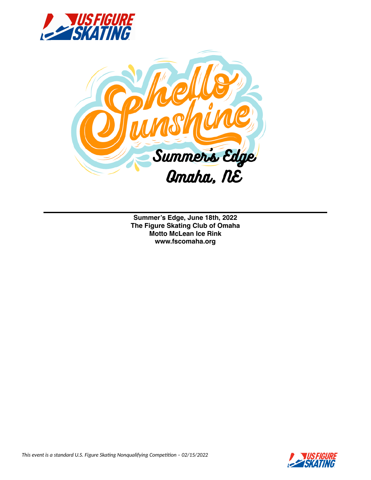



**Summer's Edge, June 18th, 2022 The Figure Skating Club of Omaha Motto McLean Ice Rink www.fscomaha.org**

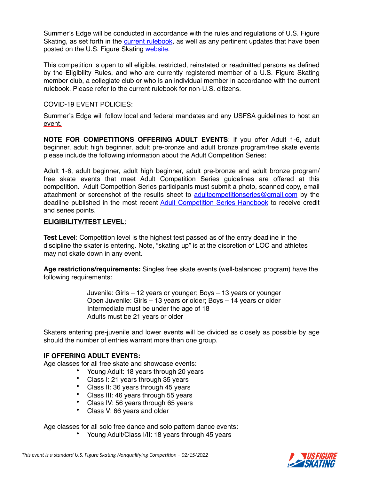Summer's Edge will be conducted in accordance with the rules and regulations of U.S. Figure Skating, as set forth in the current rulebook, as well as any pertinent updates that have been posted on the U.S. Figure Skating website.

This competition is open to all eligible, restricted, reinstated or readmitted persons as defined by the Eligibility Rules, and who are currently registered member of a U.S. Figure Skating member club, a collegiate club or who is an individual member in accordance with the current rulebook. Please refer to the current rulebook for non-U.S. citizens.

#### COVID-19 EVENT POLICIES:

Summer's Edge will follow local and federal mandates and any USFSA guidelines to host an event.

**NOTE FOR COMPETITIONS OFFERING ADULT EVENTS**: if you offer Adult 1-6, adult beginner, adult high beginner, adult pre-bronze and adult bronze program/free skate events please include the following information about the Adult Competition Series:

Adult 1-6, adult beginner, adult high beginner, adult pre-bronze and adult bronze program/ free skate events that meet Adult Competition Series guidelines are offered at this competition. Adult Competition Series participants must submit a photo, scanned copy, email attachment or screenshot of the results sheet to adultcompetitionseries@gmail.com by the deadline published in the most recent Adult Competition Series Handbook to receive credit and series points.

#### **ELIGIBILITY/TEST LEVEL**:

**Test Level**: Competition level is the highest test passed as of the entry deadline in the discipline the skater is entering. Note, "skating up" is at the discretion of LOC and athletes may not skate down in any event.

**Age restrictions/requirements:** Singles free skate events (well-balanced program) have the following requirements:

> Juvenile: Girls – 12 years or younger; Boys – 13 years or younger Open Juvenile: Girls – 13 years or older; Boys – 14 years or older Intermediate must be under the age of 18 Adults must be 21 years or older

Skaters entering pre-juvenile and lower events will be divided as closely as possible by age should the number of entries warrant more than one group.

#### **IF OFFERING ADULT EVENTS:**

Age classes for all free skate and showcase events:

- Young Adult: 18 years through 20 years
- Class I: 21 years through 35 years
- Class II: 36 years through 45 years
- Class III: 46 years through 55 years
- Class IV: 56 years through 65 years<br>• Class V: 66 years and older
- Class V: 66 years and older

Age classes for all solo free dance and solo pattern dance events:

• Young Adult/Class I/II: 18 years through 45 years

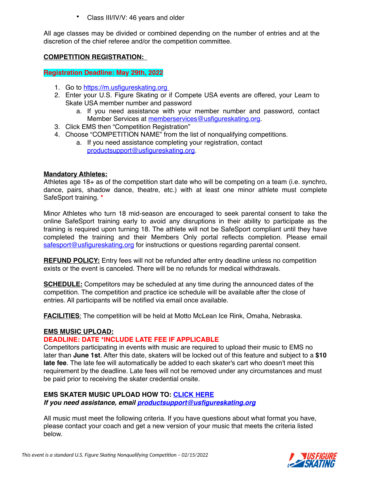• Class III/IV/V: 46 years and older

All age classes may be divided or combined depending on the number of entries and at the discretion of the chief referee and/or the competition committee.

# **COMPETITION REGISTRATION:**

**Registration Deadline: May 29th, 2022**

- 1. Go to https://m.usfigureskating.org
- 2. Enter your U.S. Figure Skating or if Compete USA events are offered, your Learn to Skate USA member number and password
	- a. If you need assistance with your member number and password, contact Member Services at memberservices@usfigureskating.org.
- 3. Click EMS then "Competition Registration"
- 4. Choose "COMPETITION NAME" from the list of nonqualifying competitions.
	- a. If you need assistance completing your registration, contact productsupport@usfigureskating.org.

# **Mandatory Athletes:**

Athletes age 18+ as of the competition start date who will be competing on a team (i.e. synchro, dance, pairs, shadow dance, theatre, etc.) with at least one minor athlete must complete SafeSport training. **\***

Minor Athletes who turn 18 mid-season are encouraged to seek parental consent to take the online SafeSport training early to avoid any disruptions in their ability to participate as the training is required upon turning 18. The athlete will not be SafeSport compliant until they have completed the training and their Members Only portal reflects completion. Please email safesport@usfigureskating.org for instructions or questions regarding parental consent.

**REFUND POLICY:** Entry fees will not be refunded after entry deadline unless no competition exists or the event is canceled. There will be no refunds for medical withdrawals.

**SCHEDULE:** Competitors may be scheduled at any time during the announced dates of the competition. The competition and practice ice schedule will be available after the close of entries. All participants will be notified via email once available.

**FACILITIES**: The competition will be held at Motto McLean Ice Rink, Omaha, Nebraska.

# **EMS MUSIC UPLOAD:**

# **DEADLINE: DATE \*INCLUDE LATE FEE IF APPLICABLE**

Competitors participating in events with music are required to upload their music to EMS no later than **June 1st**. After this date, skaters will be locked out of this feature and subject to a **\$10 late fee**. The late fee will automatically be added to each skater's cart who doesn't meet this requirement by the deadline. Late fees will not be removed under any circumstances and must be paid prior to receiving the skater credential onsite.

# **EMS SKATER MUSIC UPLOAD HOW TO: CLICK HERE**

*If you need assistance, email productsupport@usfigureskating.org*

All music must meet the following criteria. If you have questions about what format you have, please contact your coach and get a new version of your music that meets the criteria listed below.

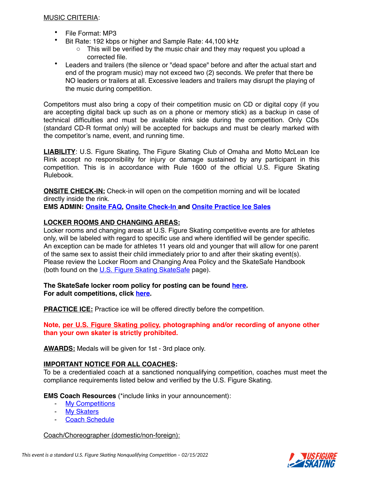# MUSIC CRITERIA:

- File Format: MP3
- Bit Rate: 192 kbps or higher and Sample Rate: 44,100 kHz
	- $\circ$  This will be verified by the music chair and they may request you upload a corrected file.
- Leaders and trailers (the silence or "dead space" before and after the actual start and end of the program music) may not exceed two (2) seconds. We prefer that there be NO leaders or trailers at all. Excessive leaders and trailers may disrupt the playing of the music during competition.

Competitors must also bring a copy of their competition music on CD or digital copy (if you are accepting digital back up such as on a phone or memory stick) as a backup in case of technical difficulties and must be available rink side during the competition. Only CDs (standard CD-R format only) will be accepted for backups and must be clearly marked with the competitor's name, event, and running time.

**LIABILITY**: U.S. Figure Skating, The Figure Skating Club of Omaha and Motto McLean Ice Rink accept no responsibility for injury or damage sustained by any participant in this competition. This is in accordance with Rule 1600 of the official U.S. Figure Skating Rulebook.

**ONSITE CHECK-IN:** Check-in will open on the competition morning and will be located directly inside the rink.

**EMS ADMIN: Onsite FAQ, Onsite Check-In and Onsite Practice Ice Sales**

# **LOCKER ROOMS AND CHANGING AREAS:**

Locker rooms and changing areas at U.S. Figure Skating competitive events are for athletes only, will be labeled with regard to specific use and where identified will be gender specific. An exception can be made for athletes 11 years old and younger that will allow for one parent of the same sex to assist their child immediately prior to and after their skating event(s). Please review the Locker Room and Changing Area Policy and the SkateSafe Handbook (both found on the U.S. Figure Skating SkateSafe page).

# **The SkateSafe locker room policy for posting can be found here. For adult competitions, click here.**

**PRACTICE ICE:** Practice ice will be offered directly before the competition.

**Note, per U.S. Figure Skating policy, photographing and/or recording of anyone other than your own skater is strictly prohibited.** 

**AWARDS:** Medals will be given for 1st - 3rd place only.

# **IMPORTANT NOTICE FOR ALL COACHES:**

To be a credentialed coach at a sanctioned nonqualifying competition, coaches must meet the compliance requirements listed below and verified by the U.S. Figure Skating.

**EMS Coach Resources** (\*include links in your announcement):

- My Competitions
- My Skaters
- Coach Schedule

# Coach/Choreographer (domestic/non-foreign):

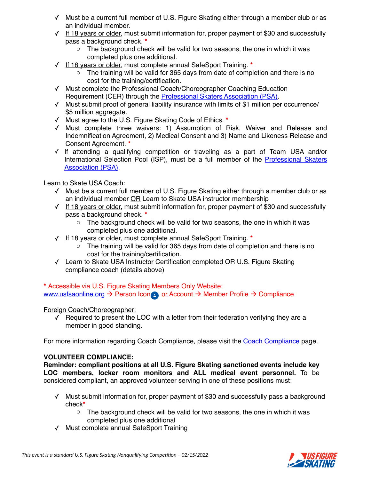- ✓ Must be a current full member of U.S. Figure Skating either through a member club or as an individual member.
- $\sqrt{1}$  If 18 years or older, must submit information for, proper payment of \$30 and successfully pass a background check. **\***
	- $\circ$  The background check will be valid for two seasons, the one in which it was completed plus one additional.
- ✓ If 18 years or older, must complete annual SafeSport Training. **\***
	- $\circ$  The training will be valid for 365 days from date of completion and there is no cost for the training/certification.
- ✓ Must complete the Professional Coach/Choreographer Coaching Education Requirement (CER) through the **Professional Skaters Association (PSA)**.
- ✓ Must submit proof of general liability insurance with limits of \$1 million per occurrence/ \$5 million aggregate.
- ✓ Must agree to the U.S. Figure Skating Code of Ethics. **\***
- ✓ Must complete three waivers: 1) Assumption of Risk, Waiver and Release and Indemnification Agreement, 2) Medical Consent and 3) Name and Likeness Release and Consent Agreement. **\***
- ✓ If attending a qualifying competition or traveling as a part of Team USA and/or International Selection Pool (ISP), must be a full member of the Professional Skaters Association (PSA).

# Learn to Skate USA Coach:

- ✓ Must be a current full member of U.S. Figure Skating either through a member club or as an individual member OR Learn to Skate USA instructor membership
- ✓ If 18 years or older, must submit information for, proper payment of \$30 and successfully pass a background check. **\***
	- $\circ$  The background check will be valid for two seasons, the one in which it was completed plus one additional.
- ✓ If 18 years or older, must complete annual SafeSport Training. **\***
	- $\circ$  The training will be valid for 365 days from date of completion and there is no cost for the training/certification.
- ✓ Learn to Skate USA Instructor Certification completed OR U.S. Figure Skating compliance coach (details above)

# **\*** Accessible via U.S. Figure Skating Members Only Website: www.usfsaonline.org  $\rightarrow$  Person Icon or Account  $\rightarrow$  Member Profile  $\rightarrow$  Compliance

# Foreign Coach/Choreographer:

✓ Required to present the LOC with a letter from their federation verifying they are a member in good standing.

For more information regarding Coach Compliance, please visit the Coach Compliance page.

# **VOLUNTEER COMPLIANCE:**

**Reminder: compliant positions at all U.S. Figure Skating sanctioned events include key LOC members, locker room monitors and ALL medical event personnel.** To be considered compliant, an approved volunteer serving in one of these positions must:

- ✓ Must submit information for, proper payment of \$30 and successfully pass a background check**\***
	- $\circ$  The background check will be valid for two seasons, the one in which it was completed plus one additional
- ✓ Must complete annual SafeSport Training